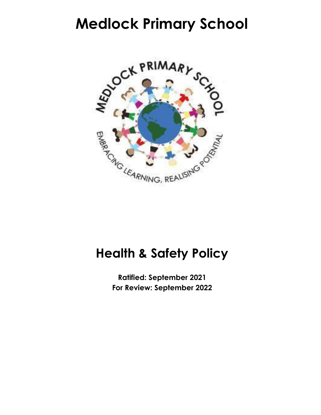# **Medlock Primary School**



# **Health & Safety Policy**

**Ratified: September 2021 For Review: September 2022**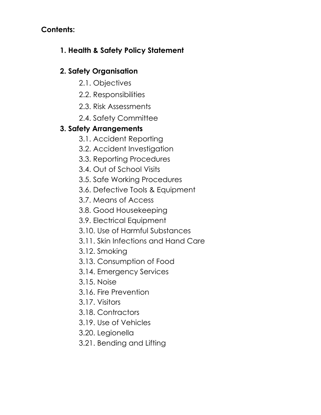## **Contents:**

# **1. Health & Safety Policy Statement**

## **2. Safety Organisation**

- 2.1. Objectives
- 2.2. Responsibilities
- 2.3. Risk Assessments
- 2.4. Safety Committee

# **3. Safety Arrangements**

- 3.1. Accident Reporting
- 3.2. Accident Investigation
- 3.3. Reporting Procedures
- 3.4. Out of School Visits
- 3.5. Safe Working Procedures
- 3.6. Defective Tools & Equipment
- 3.7. Means of Access
- 3.8. Good Housekeeping
- 3.9. Electrical Equipment
- 3.10. Use of Harmful Substances
- 3.11. Skin Infections and Hand Care
- 3.12. Smoking
- 3.13. Consumption of Food
- 3.14. Emergency Services
- 3.15. Noise
- 3.16. Fire Prevention
- 3.17. Visitors
- 3.18. Contractors
- 3.19. Use of Vehicles
- 3.20. Legionella
- 3.21. Bending and Lifting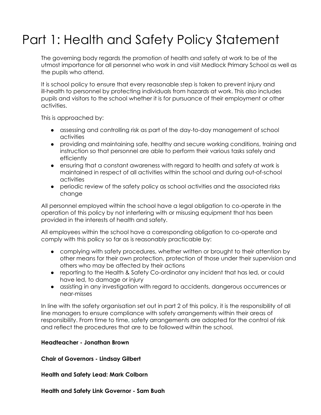# Part 1: Health and Safety Policy Statement

The governing body regards the promotion of health and safety at work to be of the utmost importance for all personnel who work in and visit Medlock Primary School as well as the pupils who attend.

It is school policy to ensure that every reasonable step is taken to prevent injury and ill-health to personnel by protecting individuals from hazards at work. This also includes pupils and visitors to the school whether it is for pursuance of their employment or other activities.

This is approached by:

- assessing and controlling risk as part of the day-to-day management of school activities
- providing and maintaining safe, healthy and secure working conditions, training and instruction so that personnel are able to perform their various tasks safely and efficiently
- ensuring that a constant awareness with regard to health and safety at work is maintained in respect of all activities within the school and during out-of-school activities
- periodic review of the safety policy as school activities and the associated risks change

All personnel employed within the school have a legal obligation to co-operate in the operation of this policy by not interfering with or misusing equipment that has been provided in the interests of health and safety.

All employees within the school have a corresponding obligation to co-operate and comply with this policy so far as is reasonably practicable by:

- complying with safety procedures, whether written or brought to their attention by other means for their own protection, protection of those under their supervision and others who may be affected by their actions
- reporting to the Health & Safety Co-ordinator any incident that has led, or could have led, to damage or injury
- assisting in any investigation with regard to accidents, dangerous occurrences or near-misses

In line with the safety organisation set out in part 2 of this policy, it is the responsibility of all line managers to ensure compliance with safety arrangements within their areas of responsibility. From time to time, safety arrangements are adopted for the control of risk and reflect the procedures that are to be followed within the school.

#### **Headteacher - Jonathan Brown**

**Chair of Governors - Lindsay Gilbert**

**Health and Safety Lead: Mark Colborn**

**Health and Safety Link Governor - Sam Buah**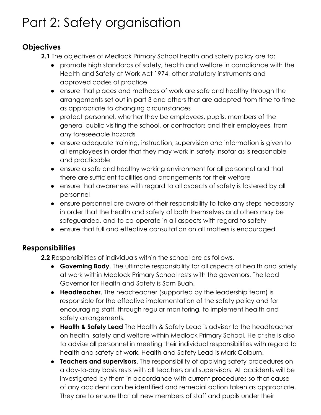# Part 2: Safety organisation

## **Objectives**

- **2.1** The objectives of Medlock Primary School health and safety policy are to:
	- promote high standards of safety, health and welfare in compliance with the Health and Safety at Work Act 1974, other statutory instruments and approved codes of practice
	- ensure that places and methods of work are safe and healthy through the arrangements set out in part 3 and others that are adopted from time to time as appropriate to changing circumstances
	- protect personnel, whether they be employees, pupils, members of the general public visiting the school, or contractors and their employees, from any foreseeable hazards
	- ensure adequate training, instruction, supervision and information is given to all employees in order that they may work in safety insofar as is reasonable and practicable
	- ensure a safe and healthy working environment for all personnel and that there are sufficient facilities and arrangements for their welfare
	- ensure that awareness with regard to all aspects of safety is fostered by all personnel
	- ensure personnel are aware of their responsibility to take any steps necessary in order that the health and safety of both themselves and others may be safeguarded, and to co-operate in all aspects with regard to safety
	- ensure that full and effective consultation on all matters is encouraged

# **Responsibilities**

**2.2** Responsibilities of individuals within the school are as follows.

- **Governing Body.** The ultimate responsibility for all aspects of health and safety at work within Medlock Primary School rests with the governors. The lead Governor for Health and Safety is Sam Buah.
- **Headteacher**. The headteacher (supported by the leadership team) is responsible for the effective implementation of the safety policy and for encouraging staff, through regular monitoring, to implement health and safety arrangements.
- **Health & Safety Lead** The Health & Safety Lead is adviser to the headteacher on health, safety and welfare within Medlock Primary School. He or she is also to advise all personnel in meeting their individual responsibilities with regard to health and safety at work. Health and Safety Lead is Mark Colburn.
- **Teachers and supervisors**. The responsibility of applying safety procedures on a day-to-day basis rests with all teachers and supervisors. All accidents will be investigated by them in accordance with current procedures so that cause of any accident can be identified and remedial action taken as appropriate. They are to ensure that all new members of staff and pupils under their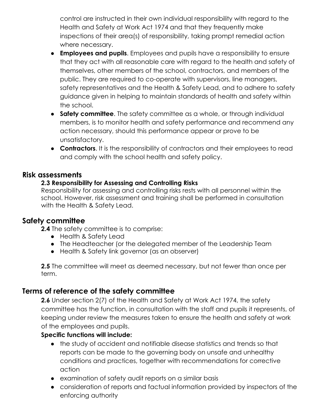control are instructed in their own individual responsibility with regard to the Health and Safety at Work Act 1974 and that they frequently make inspections of their area(s) of responsibility, taking prompt remedial action where necessary.

- **Employees and pupils**. Employees and pupils have a responsibility to ensure that they act with all reasonable care with regard to the health and safety of themselves, other members of the school, contractors, and members of the public. They are required to co-operate with supervisors, line managers, safety representatives and the Health & Safety Lead, and to adhere to safety guidance given in helping to maintain standards of health and safety within the school.
- **Safety committee**. The safety committee as a whole, or through individual members, is to monitor health and safety performance and recommend any action necessary, should this performance appear or prove to be unsatisfactory.
- **Contractors**. It is the responsibility of contractors and their employees to read and comply with the school health and safety policy.

### **Risk assessments**

### **2.3 Responsibility for Assessing and Controlling Risks**

Responsibility for assessing and controlling risks rests with all personnel within the school. However, risk assessment and training shall be performed in consultation with the Health & Safety Lead.

## **Safety committee**

**2.4** The safety committee is to comprise:

- Health & Safety Lead
- The Headteacher (or the delegated member of the Leadership Team
- Health & Safety link governor (as an observer)

**2.5** The committee will meet as deemed necessary, but not fewer than once per term.

## **Terms of reference of the safety committee**

**2.6** Under section 2(7) of the Health and Safety at Work Act 1974, the safety committee has the function, in consultation with the staff and pupils it represents, of keeping under review the measures taken to ensure the health and safety at work of the employees and pupils.

### **Specific functions will include:**

- the study of accident and notifiable disease statistics and trends so that reports can be made to the governing body on unsafe and unhealthy conditions and practices, together with recommendations for corrective action
- examination of safety audit reports on a similar basis
- consideration of reports and factual information provided by inspectors of the enforcing authority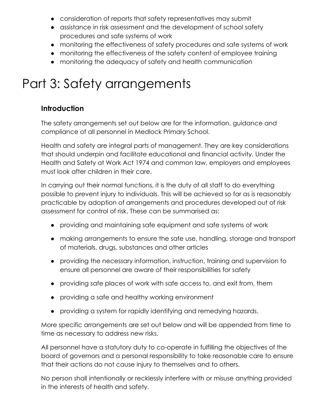- consideration of reports that safety representatives may submit
- assistance in risk assessment and the development of school safety procedures and safe systems of work
- monitoring the effectiveness of safety procedures and safe systems of work
- monitoring the effectiveness of the safety content of employee training
- monitoring the adequacy of safety and health communication

# Part 3: Safety arrangements

## **Introduction**

The safety arrangements set out below are for the information, guidance and compliance of all personnel in Medlock Primary School.

Health and safety are integral parts of management. They are key considerations that should underpin and facilitate educational and financial activity. Under the Health and Safety at Work Act 1974 and common law, employers and employees must look after children in their care.

In carrying out their normal functions, it is the duty of all staff to do everything possible to prevent injury to individuals. This will be achieved so far as is reasonably practicable by adoption of arrangements and procedures developed out of risk assessment for control of risk. These can be summarised as:

- providing and maintaining safe equipment and safe systems of work
- making arrangements to ensure the safe use, handling, storage and transport of materials, drugs, substances and other articles
- providing the necessary information, instruction, training and supervision to ensure all personnel are aware of their responsibilities for safety
- providing safe places of work with safe access to, and exit from, them
- providing a safe and healthy working environment
- providing a system for rapidly identifying and remedying hazards.

More specific arrangements are set out below and will be appended from time to time as necessary to address new risks.

All personnel have a statutory duty to co-operate in fulfilling the objectives of the board of governors and a personal responsibility to take reasonable care to ensure that their actions do not cause injury to themselves and to others.

No person shall intentionally or recklessly interfere with or misuse anything provided in the interests of health and safety.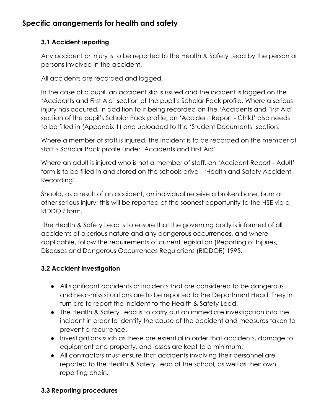## **Specific arrangements for health and safety**

### **3.1 Accident reporting**

Any accident or injury is to be reported to the Health & Safety Lead by the person or persons involved in the accident.

All accidents are recorded and logged.

In the case of a pupil, an accident slip is issued and the incident is logged on the 'Accidents and First Aid' section of the pupil's Scholar Pack profile. Where a serious injury has occured, in addition to it being recorded on the 'Accidents and First Aid' section of the pupil's Scholar Pack profile, an 'Accident Report - Child' also needs to be filled in (Appendix 1) and uploaded to the 'Student Documents' section.

Where a member of staff is injured, the incident is to be recorded on the member of staff's Scholar Pack profile under 'Accidents and First Aid'.

Where an adult is injured who is not a member of staff, an 'Accident Report - Adult' form is to be filled in and stored on the schools drive - 'Health and Safety Accident Recording'.

Should, as a result of an accident, an individual receive a broken bone, burn or other serious injury; this will be reported at the soonest opportunity to the HSE via a RIDDOR form.

The Health & Safety Lead is to ensure that the governing body is informed of all accidents of a serious nature and any dangerous occurrences, and where applicable, follow the requirements of current legislation (Reporting of Injuries, Diseases and Dangerous Occurrences Regulations (RIDDOR) 1995.

## **3.2 Accident investigation**

- All significant accidents or incidents that are considered to be dangerous and near-miss situations are to be reported to the Department Head. They in turn are to report the incident to the Health & Safety Lead.
- The Health & Safety Lead is to carry out an immediate investigation into the incident in order to identify the cause of the accident and measures taken to prevent a recurrence.
- Investigations such as these are essential in order that accidents, damage to equipment and property, and losses are kept to a minimum.
- All contractors must ensure that accidents involving their personnel are reported to the Health & Safety Lead of the school, as well as their own reporting chain.

## **3.3 Reporting procedures**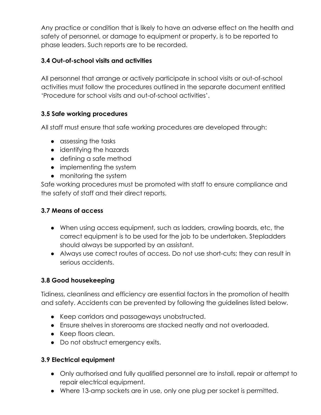Any practice or condition that is likely to have an adverse effect on the health and safety of personnel, or damage to equipment or property, is to be reported to phase leaders. Such reports are to be recorded.

#### **3.4 Out-of-school visits and activities**

All personnel that arrange or actively participate in school visits or out-of-school activities must follow the procedures outlined in the separate document entitled 'Procedure for school visits and out-of-school activities'.

### **3.5 Safe working procedures**

All staff must ensure that safe working procedures are developed through:

- assessing the tasks
- identifying the hazards
- defining a safe method
- implementing the system
- monitoring the system

Safe working procedures must be promoted with staff to ensure compliance and the safety of staff and their direct reports.

#### **3.7 Means of access**

- When using access equipment, such as ladders, crawling boards, etc, the correct equipment is to be used for the job to be undertaken. Stepladders should always be supported by an assistant.
- Always use correct routes of access. Do not use short-cuts; they can result in serious accidents.

### **3.8 Good housekeeping**

Tidiness, cleanliness and efficiency are essential factors in the promotion of health and safety. Accidents can be prevented by following the guidelines listed below.

- Keep corridors and passageways unobstructed.
- Ensure shelves in storerooms are stacked neatly and not overloaded.
- Keep floors clean.
- Do not obstruct emergency exits.

#### **3.9 Electrical equipment**

- Only authorised and fully qualified personnel are to install, repair or attempt to repair electrical equipment.
- Where 13-amp sockets are in use, only one plug per socket is permitted.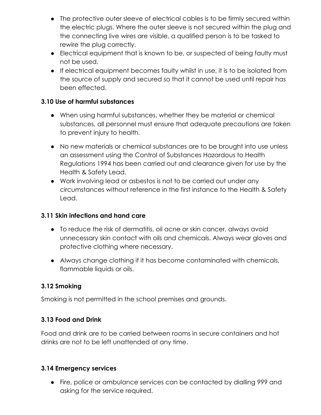- The protective outer sleeve of electrical cables is to be firmly secured within the electric plugs. Where the outer sleeve is not secured within the plug and the connecting live wires are visible, a qualified person is to be tasked to rewire the plug correctly.
- Electrical equipment that is known to be, or suspected of being faulty must not be used.
- If electrical equipment becomes faulty whilst in use, it is to be isolated from the source of supply and secured so that it cannot be used until repair has been effected.

#### **3.10 Use of harmful substances**

- When using harmful substances, whether they be material or chemical substances, all personnel must ensure that adequate precautions are taken to prevent injury to health.
- No new materials or chemical substances are to be brought into use unless an assessment using the Control of Substances Hazardous to Health Regulations 1994 has been carried out and clearance given for use by the Health & Safety Lead.
- Work involving lead or asbestos is not to be carried out under any circumstances without reference in the first instance to the Health & Safety Lead.

#### **3.11 Skin infections and hand care**

- To reduce the risk of dermatitis, oil acne or skin cancer, always avoid unnecessary skin contact with oils and chemicals. Always wear gloves and protective clothing where necessary.
- Always change clothing if it has become contaminated with chemicals, flammable liquids or oils.

### **3.12 Smoking**

Smoking is not permitted in the school premises and grounds.

### **3.13 Food and Drink**

Food and drink are to be carried between rooms in secure containers and hot drinks are not to be left unattended at any time.

#### **3.14 Emergency services**

● Fire, police or ambulance services can be contacted by dialling 999 and asking for the service required.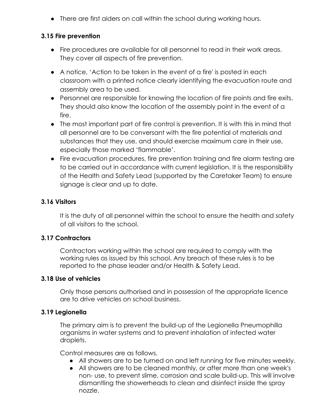• There are first aiders on call within the school during working hours.

#### **3.15 Fire prevention**

- Fire procedures are available for all personnel to read in their work areas. They cover all aspects of fire prevention.
- A notice, 'Action to be taken in the event of a fire' is posted in each classroom with a printed notice clearly identifying the evacuation route and assembly area to be used.
- Personnel are responsible for knowing the location of fire points and fire exits. They should also know the location of the assembly point in the event of a fire.
- The most important part of fire control is prevention. It is with this in mind that all personnel are to be conversant with the fire potential of materials and substances that they use, and should exercise maximum care in their use, especially those marked 'flammable'.
- Fire evacuation procedures, fire prevention training and fire alarm testing are to be carried out in accordance with current legislation. It is the responsibility of the Health and Safety Lead (supported by the Caretaker Team) to ensure signage is clear and up to date.

#### **3.16 Visitors**

It is the duty of all personnel within the school to ensure the health and safety of all visitors to the school.

#### **3.17 Contractors**

Contractors working within the school are required to comply with the working rules as issued by this school. Any breach of these rules is to be reported to the phase leader and/or Health & Safety Lead.

#### **3.18 Use of vehicles**

Only those persons authorised and in possession of the appropriate licence are to drive vehicles on school business.

#### **3.19 Legionella**

The primary aim is to prevent the build-up of the Legionella Pneumophilla organisms in water systems and to prevent inhalation of infected water droplets.

Control measures are as follows.

- All showers are to be turned on and left running for five minutes weekly.
- All showers are to be cleaned monthly, or after more than one week's non- use, to prevent slime, corrosion and scale build-up. This will involve dismantling the showerheads to clean and disinfect inside the spray nozzle.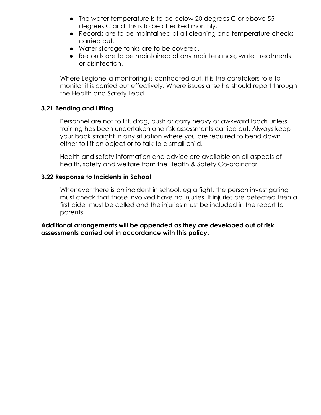- The water temperature is to be below 20 degrees C or above 55 degrees C and this is to be checked monthly.
- Records are to be maintained of all cleaning and temperature checks carried out.
- Water storage tanks are to be covered.
- Records are to be maintained of any maintenance, water treatments or disinfection.

Where Legionella monitoring is contracted out, it is the caretakers role to monitor it is carried out effectively. Where issues arise he should report through the Health and Safety Lead.

#### **3.21 Bending and Lifting**

Personnel are not to lift, drag, push or carry heavy or awkward loads unless training has been undertaken and risk assessments carried out. Always keep your back straight in any situation where you are required to bend down either to lift an object or to talk to a small child.

Health and safety information and advice are available on all aspects of health, safety and welfare from the Health & Safety Co-ordinator.

#### **3.22 Response to Incidents in School**

Whenever there is an incident in school, eg a fight, the person investigating must check that those involved have no injuries. If injuries are detected then a first aider must be called and the injuries must be included in the report to parents.

**Additional arrangements will be appended as they are developed out of risk assessments carried out in accordance with this policy.**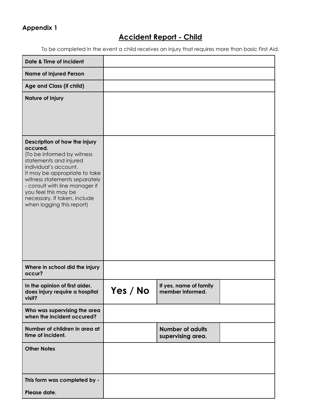## **Appendix 1**

# **Accident Report - Child**

To be completed in the event a child receives an injury that requires more than basic First Aid.

| Date & Time of Incident                                                                                                                                                                                                                                                                                             |          |                                              |  |
|---------------------------------------------------------------------------------------------------------------------------------------------------------------------------------------------------------------------------------------------------------------------------------------------------------------------|----------|----------------------------------------------|--|
| <b>Name of Injured Person</b>                                                                                                                                                                                                                                                                                       |          |                                              |  |
| Age and Class (if child)                                                                                                                                                                                                                                                                                            |          |                                              |  |
| <b>Nature of Injury</b>                                                                                                                                                                                                                                                                                             |          |                                              |  |
| Description of how the injury<br>occured.<br>(To be informed by witness<br>statements and injured<br>individual's account.<br>It may be appropriate to take<br>witness statements separately<br>- consult with line manager if<br>you feel this may be<br>necessary. If taken, include<br>when logging this report) |          |                                              |  |
| Where in school did the injury<br>occur?                                                                                                                                                                                                                                                                            |          |                                              |  |
| In the opinion of first aider,<br>does injury require a hospital<br>visit?                                                                                                                                                                                                                                          | Yes / No | If yes, name of family<br>member informed.   |  |
| Who was supervising the area<br>when the incident occured?                                                                                                                                                                                                                                                          |          |                                              |  |
| Number of children in area at<br>time of incident.                                                                                                                                                                                                                                                                  |          | <b>Number of adults</b><br>supervising area. |  |
| <b>Other Notes</b>                                                                                                                                                                                                                                                                                                  |          |                                              |  |
| This form was completed by -                                                                                                                                                                                                                                                                                        |          |                                              |  |
| Please date.                                                                                                                                                                                                                                                                                                        |          |                                              |  |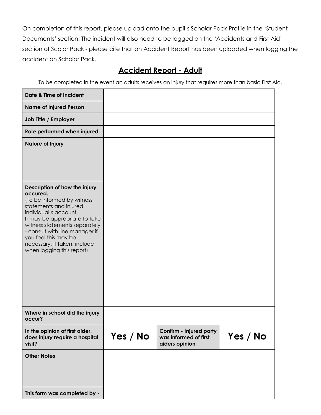On completion of this report, please upload onto the pupil's Scholar Pack Profile in the 'Student Documents' section. The incident will also need to be logged on the 'Accidents and First Aid' section of Scolar Pack - please cite that an Accident Report has been uploaded when logging the accident on Scholar Pack.

## **Accident Report - Adult**

To be completed in the event an adults receives an injury that requires more than basic First Aid.

| Date & Time of Incident                                                                                                                                                                                                                                                                                             |          |                                                                    |          |
|---------------------------------------------------------------------------------------------------------------------------------------------------------------------------------------------------------------------------------------------------------------------------------------------------------------------|----------|--------------------------------------------------------------------|----------|
| <b>Name of Injured Person</b>                                                                                                                                                                                                                                                                                       |          |                                                                    |          |
| Job Title / Employer                                                                                                                                                                                                                                                                                                |          |                                                                    |          |
| Role performed when injured                                                                                                                                                                                                                                                                                         |          |                                                                    |          |
| Nature of Injury                                                                                                                                                                                                                                                                                                    |          |                                                                    |          |
| Description of how the injury<br>occured.<br>(To be informed by witness<br>statements and injured<br>individual's account.<br>It may be appropriate to take<br>witness statements separately<br>- consult with line manager if<br>you feel this may be<br>necessary. If taken, include<br>when logging this report) |          |                                                                    |          |
| Where in school did the injury<br>occur?                                                                                                                                                                                                                                                                            |          |                                                                    |          |
| In the opinion of first aider,<br>does injury require a hospital<br>visit?                                                                                                                                                                                                                                          | Yes / No | Confirm - Injured party<br>was informed of first<br>aiders opinion | Yes / No |
| <b>Other Notes</b>                                                                                                                                                                                                                                                                                                  |          |                                                                    |          |
| This form was completed by -                                                                                                                                                                                                                                                                                        |          |                                                                    |          |